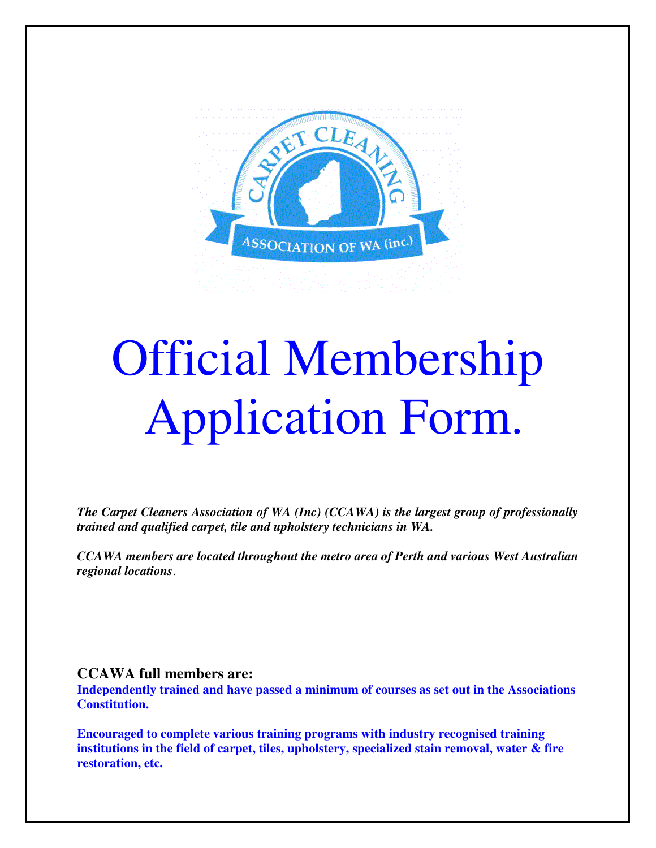

# Official Membership Application Form.

*The Carpet Cleaners Association of WA (Inc) (CCAWA) is the largest group of professionally trained and qualified carpet, tile and upholstery technicians in WA.* 

*CCAWA members are located throughout the metro area of Perth and various West Australian regional locations*.

#### **CCAWA full members are:**

**Independently trained and have passed a minimum of courses as set out in the Associations Constitution.** 

**Encouraged to complete various training programs with industry recognised training institutions in the field of carpet, tiles, upholstery, specialized stain removal, water & fire restoration, etc.**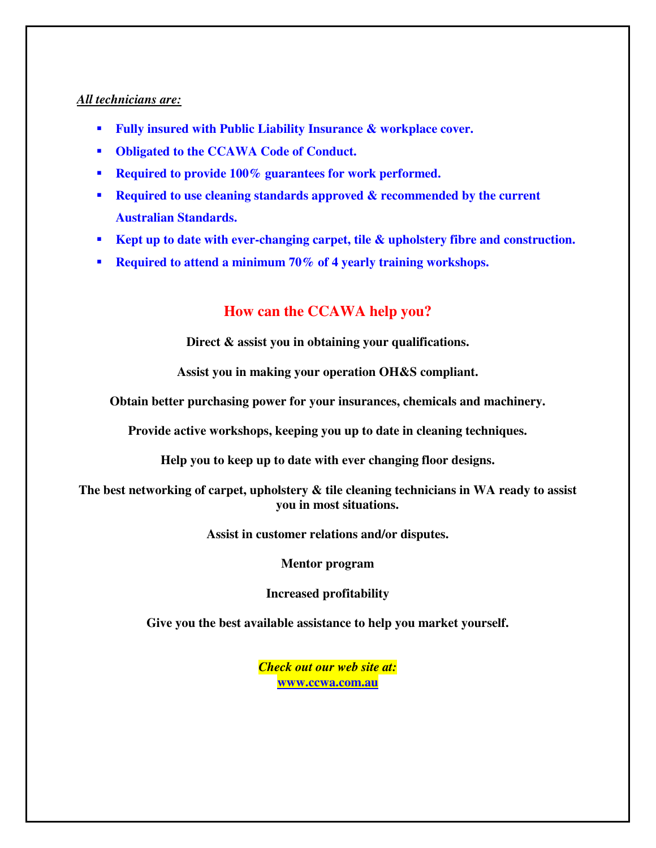#### *All technicians are:*

- **Fully insured with Public Liability Insurance & workplace cover.**
- **Obligated to the CCAWA Code of Conduct.**
- **Required to provide 100% guarantees for work performed.**
- **Required to use cleaning standards approved & recommended by the current Australian Standards.**
- **Kept up to date with ever-changing carpet, tile & upholstery fibre and construction.**
- **Required to attend a minimum 70% of 4 yearly training workshops.**

### **How can the CCAWA help you?**

**Direct & assist you in obtaining your qualifications.** 

**Assist you in making your operation OH&S compliant.** 

**Obtain better purchasing power for your insurances, chemicals and machinery.** 

**Provide active workshops, keeping you up to date in cleaning techniques.** 

**Help you to keep up to date with ever changing floor designs.** 

**The best networking of carpet, upholstery & tile cleaning technicians in WA ready to assist you in most situations.** 

**Assist in customer relations and/or disputes.** 

**Mentor program** 

**Increased profitability** 

**Give you the best available assistance to help you market yourself.** 

*Check out our web site at:*  **[www.ccwa.com.au](http://www.ccwa.com.au/)**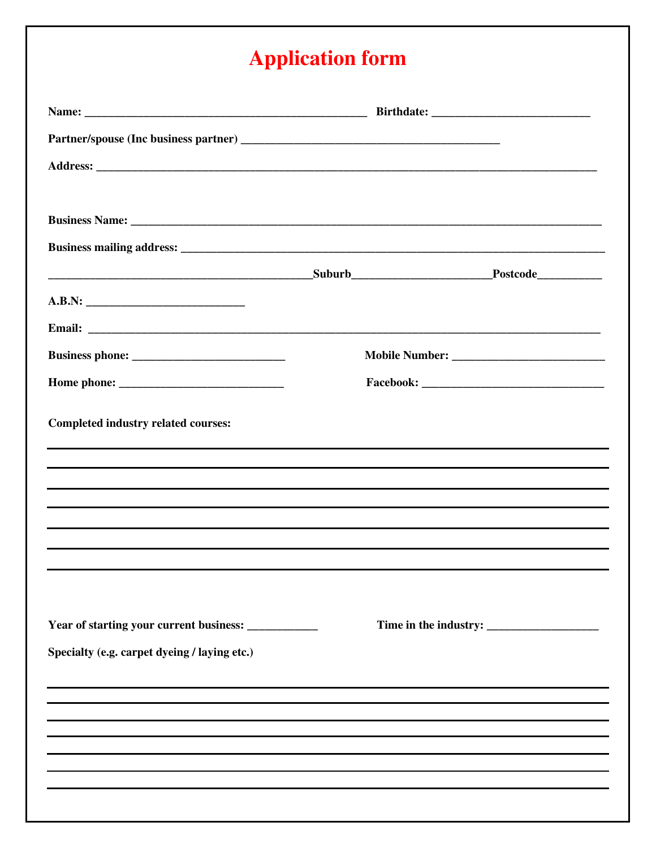## **Application form**

| <b>Completed industry related courses:</b>                                       |  |  |
|----------------------------------------------------------------------------------|--|--|
|                                                                                  |  |  |
| ,我们也不会不会不会。""我们的人,我们也不会不会不会。""我们的人,我们也不会不会不会不会。""我们的人,我们也不会不会不会不会。""我们的人,我们也不会不会 |  |  |
|                                                                                  |  |  |
|                                                                                  |  |  |
|                                                                                  |  |  |
|                                                                                  |  |  |
| Year of starting your current business: ____________                             |  |  |
| Specialty (e.g. carpet dyeing / laying etc.)                                     |  |  |
|                                                                                  |  |  |
|                                                                                  |  |  |
|                                                                                  |  |  |
|                                                                                  |  |  |
|                                                                                  |  |  |
|                                                                                  |  |  |